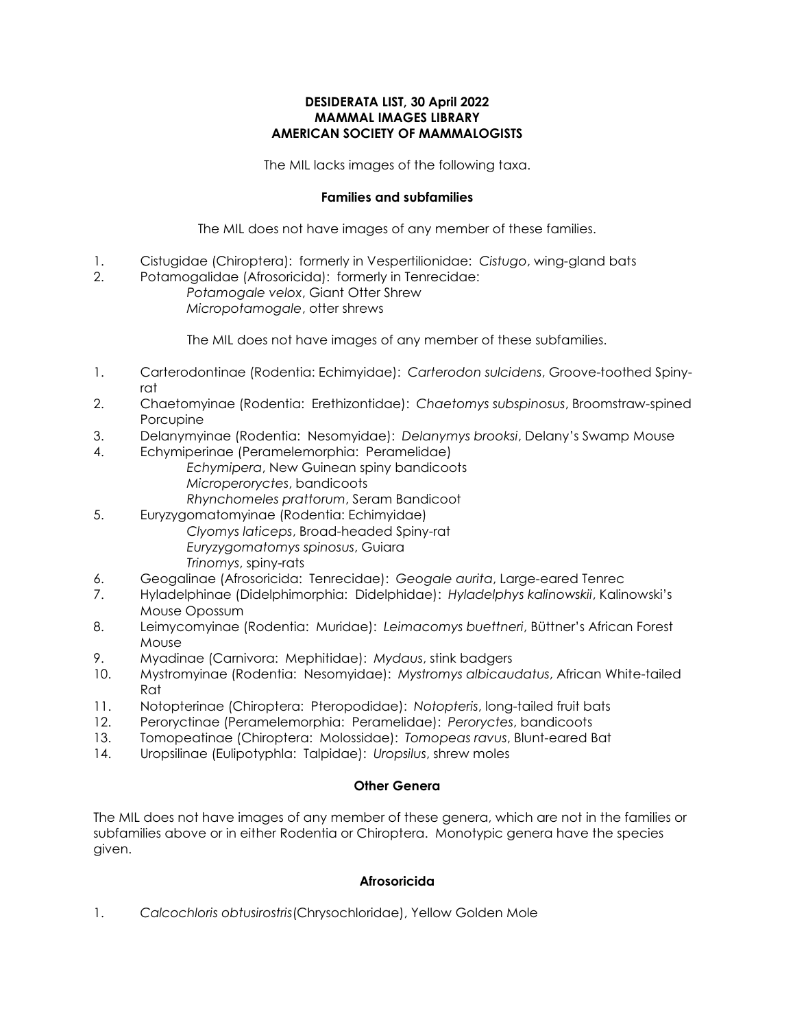#### **DESIDERATA LIST, 30 April 2022 MAMMAL IMAGES LIBRARY AMERICAN SOCIETY OF MAMMALOGISTS**

The MIL lacks images of the following taxa.

# **Families and subfamilies**

The MIL does not have images of any member of these families.

- 1. Cistugidae (Chiroptera): formerly in Vespertilionidae: *Cistugo*, wing-gland bats
- 2. Potamogalidae (Afrosoricida): formerly in Tenrecidae: *Potamogale velox*, Giant Otter Shrew *Micropotamogale*, otter shrews

The MIL does not have images of any member of these subfamilies.

- 1. Carterodontinae (Rodentia: Echimyidae): *Carterodon sulcidens*, Groove-toothed Spinyrat
- 2. Chaetomyinae (Rodentia: Erethizontidae): *Chaetomys subspinosus*, Broomstraw-spined Porcupine
- 3. Delanymyinae (Rodentia: Nesomyidae): *Delanymys brooksi*, Delany's Swamp Mouse
- 4. Echymiperinae (Peramelemorphia: Peramelidae)
	- *Echymipera*, New Guinean spiny bandicoots *Microperoryctes*, bandicoots
	-
	- *Rhynchomeles prattorum*, Seram Bandicoot
- 5. Euryzygomatomyinae (Rodentia: Echimyidae) *Clyomys laticeps*, Broad-headed Spiny-rat *Euryzygomatomys spinosus*, Guiara *Trinomys*, spiny-rats
- 6. Geogalinae (Afrosoricida: Tenrecidae): *Geogale aurita*, Large-eared Tenrec
- 7. Hyladelphinae (Didelphimorphia: Didelphidae): *Hyladelphys kalinowskii*, Kalinowski's Mouse Opossum
- 8. Leimycomyinae (Rodentia: Muridae): *Leimacomys buettneri*, Büttner's African Forest Mouse
- 9. Myadinae (Carnivora: Mephitidae): *Mydaus*, stink badgers
- 10. Mystromyinae (Rodentia: Nesomyidae): *Mystromys albicaudatus*, African White-tailed Rat
- 11. Notopterinae (Chiroptera: Pteropodidae): *Notopteris*, long-tailed fruit bats
- 12. Peroryctinae (Peramelemorphia: Peramelidae): *Peroryctes*, bandicoots
- 13. Tomopeatinae (Chiroptera: Molossidae): *Tomopeas ravus*, Blunt-eared Bat
- 14. Uropsilinae (Eulipotyphla: Talpidae): *Uropsilus*, shrew moles

#### **Other Genera**

The MIL does not have images of any member of these genera, which are not in the families or subfamilies above or in either Rodentia or Chiroptera. Monotypic genera have the species given.

# **Afrosoricida**

1. *Calcochloris obtusirostris*(Chrysochloridae), Yellow Golden Mole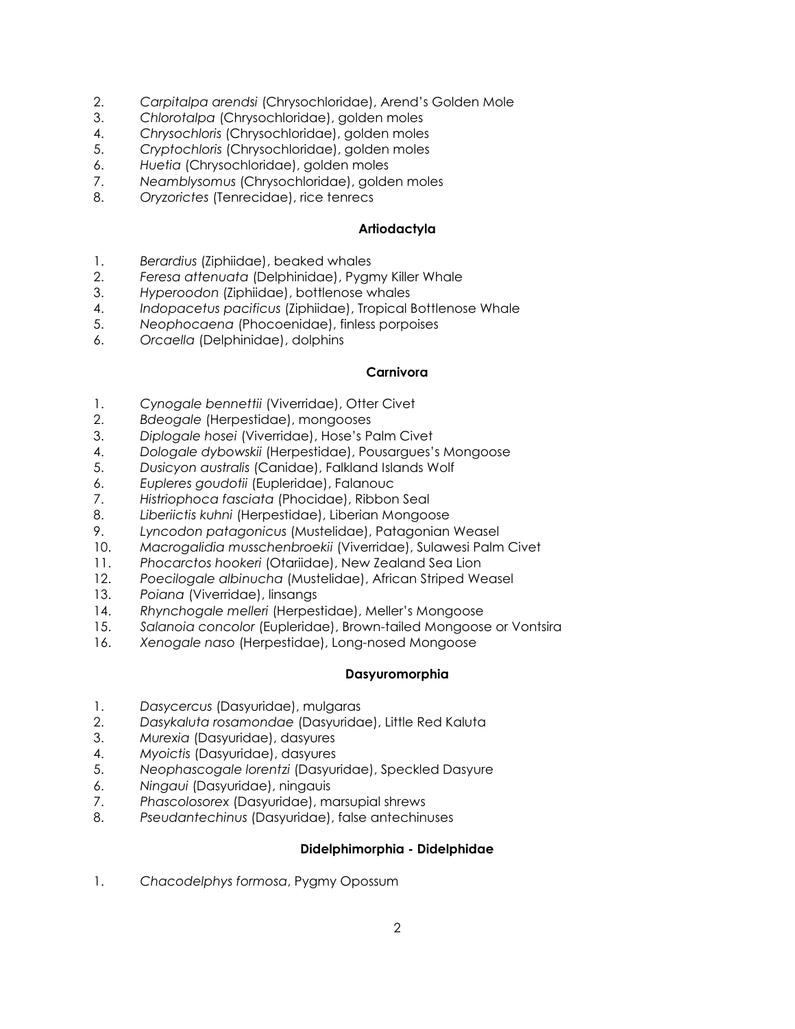- 2. *Carpitalpa arendsi* (Chrysochloridae), Arend's Golden Mole
- 3. *Chlorotalpa* (Chrysochloridae), golden moles
- 4. *Chrysochloris* (Chrysochloridae), golden moles
- 5. *Cryptochloris* (Chrysochloridae), golden moles
- 6. *Huetia* (Chrysochloridae), golden moles
- 7. *Neamblysomus* (Chrysochloridae), golden moles
- 8. *Oryzorictes* (Tenrecidae), rice tenrecs

### **Artiodactyla**

- 1. *Berardius* (Ziphiidae), beaked whales
- 2. *Feresa attenuata* (Delphinidae), Pygmy Killer Whale
- 3. *Hyperoodon* (Ziphiidae), bottlenose whales
- 4. *Indopacetus pacificus* (Ziphiidae), Tropical Bottlenose Whale
- 5. *Neophocaena* (Phocoenidae), finless porpoises
- 6. *Orcaella* (Delphinidae), dolphins

# **Carnivora**

- 1. *Cynogale bennettii* (Viverridae), Otter Civet
- 2. *Bdeogale* (Herpestidae), mongooses
- 3. *Diplogale hosei* (Viverridae), Hose's Palm Civet
- 4. *Dologale dybowskii* (Herpestidae), Pousargues's Mongoose
- 5. *Dusicyon australis* (Canidae), Falkland Islands Wolf
- 6. *Eupleres goudotii* (Eupleridae), Falanouc
- 7. *Histriophoca fasciata* (Phocidae), Ribbon Seal
- 8. *Liberiictis kuhni* (Herpestidae), Liberian Mongoose
- 9. *Lyncodon patagonicus* (Mustelidae), Patagonian Weasel
- 10. *Macrogalidia musschenbroekii* (Viverridae), Sulawesi Palm Civet
- 11. *Phocarctos hookeri* (Otariidae), New Zealand Sea Lion
- 12. *Poecilogale albinucha* (Mustelidae), African Striped Weasel
- 13. *Poiana* (Viverridae), linsangs
- 14. *Rhynchogale melleri* (Herpestidae), Meller's Mongoose
- 15. *Salanoia concolor* (Eupleridae), Brown-tailed Mongoose or Vontsira
- 16. *Xenogale naso* (Herpestidae), Long-nosed Mongoose

#### **Dasyuromorphia**

- 1. *Dasycercus* (Dasyuridae), mulgaras
- 2. *Dasykaluta rosamondae* (Dasyuridae), Little Red Kaluta
- 3. *Murexia* (Dasyuridae), dasyures
- 4. *Myoictis* (Dasyuridae), dasyures
- 5. *Neophascogale lorentzi* (Dasyuridae), Speckled Dasyure
- 6. *Ningaui* (Dasyuridae), ningauis
- 7. *Phascolosorex* (Dasyuridae), marsupial shrews
- 8. *Pseudantechinus* (Dasyuridae), false antechinuses

#### **Didelphimorphia - Didelphidae**

1. *Chacodelphys formosa*, Pygmy Opossum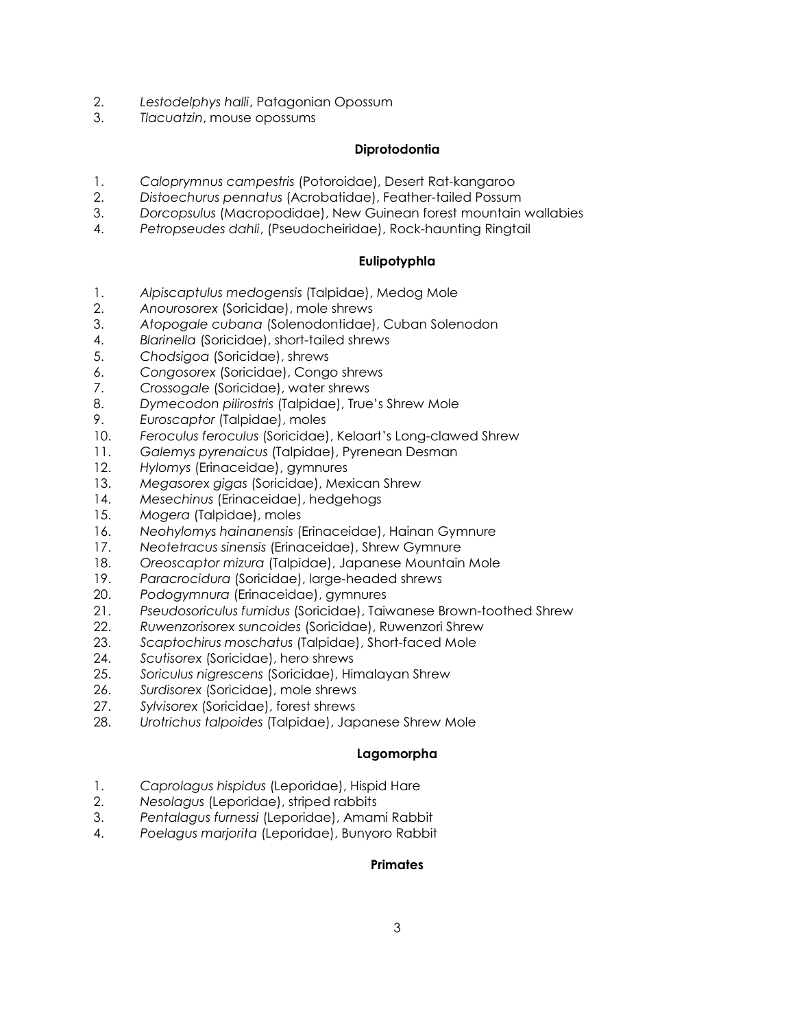- 2. *Lestodelphys halli*, Patagonian Opossum
- 3. *Tlacuatzin*, mouse opossums

### **Diprotodontia**

- 1. *Caloprymnus campestris* (Potoroidae), Desert Rat-kangaroo
- 2. *Distoechurus pennatus* (Acrobatidae), Feather-tailed Possum
- 3. *Dorcopsulus* (Macropodidae), New Guinean forest mountain wallabies
- 4. *Petropseudes dahli*, (Pseudocheiridae), Rock-haunting Ringtail

# **Eulipotyphla**

- 1. *Alpiscaptulus medogensis* (Talpidae), Medog Mole
- 2. *Anourosorex* (Soricidae), mole shrews
- 3. *Atopogale cubana* (Solenodontidae), Cuban Solenodon
- 4. *Blarinella* (Soricidae), short-tailed shrews
- 5. *Chodsigoa* (Soricidae), shrews
- 6. *Congosorex* (Soricidae), Congo shrews
- 7. *Crossogale* (Soricidae), water shrews
- 8. *Dymecodon pilirostris* (Talpidae), True's Shrew Mole
- 9. *Euroscaptor* (Talpidae), moles
- 10. *Feroculus feroculus* (Soricidae), Kelaart's Long-clawed Shrew
- 11. *Galemys pyrenaicus* (Talpidae), Pyrenean Desman
- 12. *Hylomys* (Erinaceidae), gymnures
- 13. *Megasorex gigas* (Soricidae), Mexican Shrew
- 14. *Mesechinus* (Erinaceidae), hedgehogs
- 15. *Mogera* (Talpidae), moles
- 16. *Neohylomys hainanensis* (Erinaceidae), Hainan Gymnure
- 17. *Neotetracus sinensis* (Erinaceidae), Shrew Gymnure
- 18. *Oreoscaptor mizura* (Talpidae), Japanese Mountain Mole
- 19. *Paracrocidura* (Soricidae), large-headed shrews
- 20. *Podogymnura* (Erinaceidae), gymnures
- 21. *Pseudosoriculus fumidus* (Soricidae), Taiwanese Brown-toothed Shrew
- 22. *Ruwenzorisorex suncoides* (Soricidae), Ruwenzori Shrew
- 23. *Scaptochirus moschatus* (Talpidae), Short-faced Mole
- 24. *Scutisorex* (Soricidae), hero shrews
- 25. *Soriculus nigrescens* (Soricidae), Himalayan Shrew
- 26. *Surdisorex* (Soricidae), mole shrews
- 27. *Sylvisorex* (Soricidae), forest shrews
- 28. *Urotrichus talpoides* (Talpidae), Japanese Shrew Mole

#### **Lagomorpha**

- 1. *Caprolagus hispidus* (Leporidae), Hispid Hare
- 2. *Nesolagus* (Leporidae), striped rabbits
- 3. *Pentalagus furnessi* (Leporidae), Amami Rabbit
- 4. *Poelagus marjorita* (Leporidae), Bunyoro Rabbit

#### **Primates**